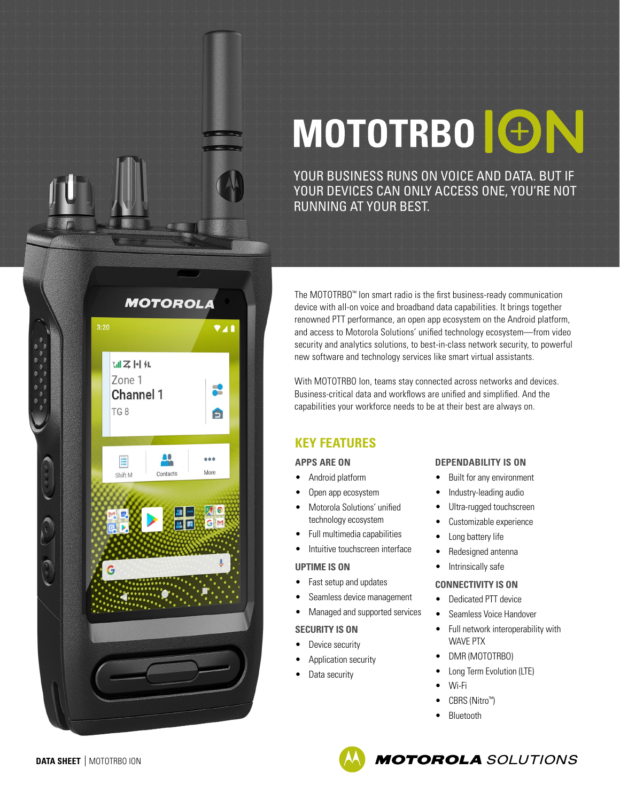

# MOTOTRBO **ION**

YOUR BUSINESS RUNS ON VOICE AND DATA. BUT IF YOUR DEVICES CAN ONLY ACCESS ONE, YOU'RE NOT RUNNING AT YOUR BEST.

The MOTOTRBO™ Ion smart radio is the first business-ready communication device with all-on voice and broadband data capabilities. It brings together renowned PTT performance, an open app ecosystem on the Android platform, and access to Motorola Solutions' unified technology ecosystem—from video security and analytics solutions, to best-in-class network security, to powerful new software and technology services like smart virtual assistants.

With MOTOTRBO Ion, teams stay connected across networks and devices. Business-critical data and workflows are unified and simplified. And the capabilities your workforce needs to be at their best are always on.

### **KEY FEATURES**

#### **APPS ARE ON**

- Android platform
- Open app ecosystem
- Motorola Solutions' unified technology ecosystem
- Full multimedia capabilities
- Intuitive touchscreen interface

#### **UPTIME IS ON**

- Fast setup and updates
- Seamless device management
- Managed and supported services

#### **SECURITY IS ON**

- Device security
- Application security
- Data security

#### **DEPENDABILITY IS ON**

- Built for any environment
- Industry-leading audio
- Ultra-rugged touchscreen
- Customizable experience
- Long battery life
- Redesigned antenna
- Intrinsically safe

#### **CONNECTIVITY IS ON**

- 
- Seamless Voice Handover
- Full network interoperability with WAVE PTX
- DMR (MOTOTRBO)
- Long Term Evolution (LTE)
- Wi-Fi
- CBRS (Nitro™)
- **Bluetooth**

**MOTOROLA** SOLUTIONS

- 
- Dedicated PTT device
- 

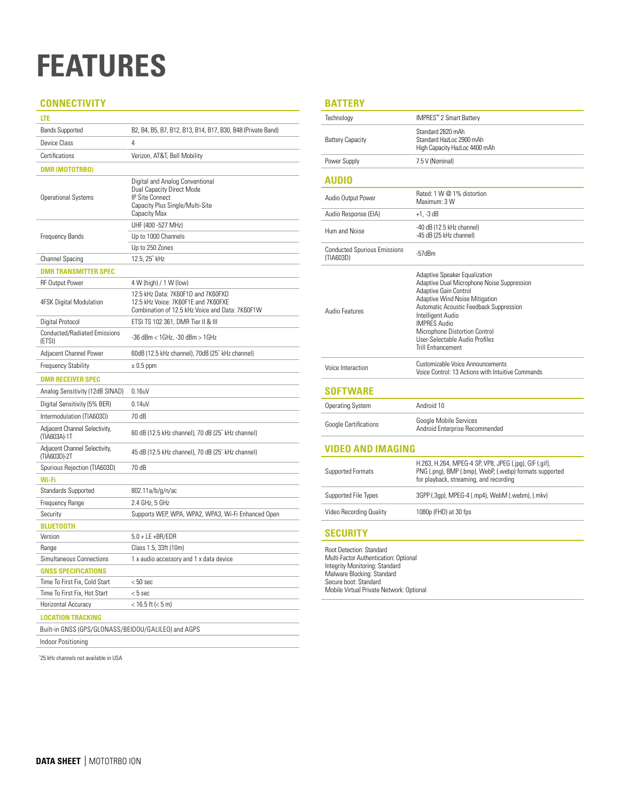### **FEATURES**

#### **CONNECTIVITY**

| LTE                                                           |                                                                                                                                    |  |  |  |  |
|---------------------------------------------------------------|------------------------------------------------------------------------------------------------------------------------------------|--|--|--|--|
| <b>Bands Supported</b>                                        | B2, B4, B5, B7, B12, B13, B14, B17, B30, B48 (Private Band)                                                                        |  |  |  |  |
| Device Class                                                  | 4                                                                                                                                  |  |  |  |  |
| Certifications                                                | Verizon, AT&T, Bell Mobility                                                                                                       |  |  |  |  |
| <b>DMR (MOTOTRBO)</b>                                         |                                                                                                                                    |  |  |  |  |
| <b>Operational Systems</b>                                    | Digital and Analog Conventional<br>Dual Capacity Direct Mode<br>IP Site Connect<br>Capacity Plus Single/Multi-Site<br>Capacity Max |  |  |  |  |
|                                                               | UHF (400 - 527 MHz)                                                                                                                |  |  |  |  |
| <b>Frequency Bands</b>                                        | Up to 1000 Channels                                                                                                                |  |  |  |  |
|                                                               | Up to 250 Zones                                                                                                                    |  |  |  |  |
| Channel Spacing                                               | 12.5.25" kHz                                                                                                                       |  |  |  |  |
| <b>DMR TRANSMITTER SPEC</b>                                   |                                                                                                                                    |  |  |  |  |
| <b>RF Output Power</b>                                        | 4 W (high) / 1 W (low)                                                                                                             |  |  |  |  |
| 4FSK Digital Modulation                                       | 12.5 kHz Data: 7K60F1D and 7K60FXD<br>12.5 kHz Voice: 7K60F1E and 7K60FXE<br>Combination of 12.5 kHz Voice and Data: 7K60F1W       |  |  |  |  |
| Digital Protocol                                              | ETSI TS 102 361, DMR Tier II & III                                                                                                 |  |  |  |  |
| Conducted/Radiated Emissions<br>(ETSI)                        | -36 dBm < 1GHz, -30 dBm > 1GHz                                                                                                     |  |  |  |  |
| Adjacent Channel Power                                        | 60dB (12.5 kHz channel), 70dB (25" kHz channel)                                                                                    |  |  |  |  |
| <b>Frequency Stability</b>                                    | $\pm$ 0.5 ppm                                                                                                                      |  |  |  |  |
| <b>DMR RECEIVER SPEC</b>                                      |                                                                                                                                    |  |  |  |  |
| Analog Sensitivity (12dB SINAD)                               | $0.16$ uV                                                                                                                          |  |  |  |  |
| Digital Sensitivity (5% BER)                                  | 0.14uV                                                                                                                             |  |  |  |  |
| Intermodulation (TIA603D)                                     | 70 dB                                                                                                                              |  |  |  |  |
| Adjacent Channel Selectivity,<br>(TIA603A)-1T                 | 60 dB (12.5 kHz channel), 70 dB (25" kHz channel)                                                                                  |  |  |  |  |
| Adjacent Channel Selectivity,<br>(TIA603D)-2T                 | 45 dB (12.5 kHz channel), 70 dB (25' kHz channel)                                                                                  |  |  |  |  |
| Spurious Rejection (TIA603D)                                  | 70 dB                                                                                                                              |  |  |  |  |
| Wi-Fi                                                         |                                                                                                                                    |  |  |  |  |
| <b>Standards Supported</b>                                    | 802.11a/b/g/n/ac                                                                                                                   |  |  |  |  |
| Frequency Range                                               | 2.4 GHz, 5 GHz                                                                                                                     |  |  |  |  |
| Security                                                      | Supports WEP, WPA, WPA2, WPA3, Wi-Fi Enhanced Open                                                                                 |  |  |  |  |
| <b>BLUETOOTH</b>                                              |                                                                                                                                    |  |  |  |  |
| Version                                                       | $5.0 + LE + BR/EDR$                                                                                                                |  |  |  |  |
| Range                                                         | Class 1.5, 33ft (10m)                                                                                                              |  |  |  |  |
| Simultaneous Connections                                      | 1 x audio accessory and 1 x data device                                                                                            |  |  |  |  |
| <b>GNSS SPECIFICATIONS</b>                                    |                                                                                                                                    |  |  |  |  |
| Time To First Fix, Cold Start<br>Time To First Fix, Hot Start | $< 50$ sec<br>< 5 sec                                                                                                              |  |  |  |  |
| Horizontal Accuracy                                           | < 16.5 ft (< 5 m)                                                                                                                  |  |  |  |  |
| <b>LOCATION TRACKING</b>                                      |                                                                                                                                    |  |  |  |  |
| Built-in GNSS (GPS/GLONASS/BEIDOU/GALILEO) and AGPS           |                                                                                                                                    |  |  |  |  |
| Indoor Positioning                                            |                                                                                                                                    |  |  |  |  |
|                                                               |                                                                                                                                    |  |  |  |  |

\* 25 kHz channels not available in USA

#### **BATTERY**

| Technology                                       | IMPRES™ 2 Smart Battery                                                                                                                                                                                                                                                                                                             |  |
|--------------------------------------------------|-------------------------------------------------------------------------------------------------------------------------------------------------------------------------------------------------------------------------------------------------------------------------------------------------------------------------------------|--|
| <b>Battery Capacity</b>                          | Standard 2820 mAh<br>Standard HazLoc 2900 mAh<br>High Capacity HazLoc 4400 mAh                                                                                                                                                                                                                                                      |  |
| Power Supply                                     | 7.5 V (Nominal)                                                                                                                                                                                                                                                                                                                     |  |
| <b>AUDIO</b>                                     |                                                                                                                                                                                                                                                                                                                                     |  |
| Audio Output Power                               | Rated: 1 W @ 1% distortion<br>Maximum: 3 W                                                                                                                                                                                                                                                                                          |  |
| Audio Response (EIA)                             | $+1, -3$ dB                                                                                                                                                                                                                                                                                                                         |  |
| Hum and Noise                                    | $-40$ dB (12.5 kHz channel)<br>-45 dB (25 kHz channel)                                                                                                                                                                                                                                                                              |  |
| <b>Conducted Spurious Emissions</b><br>(TIA603D) | $-57$ d $Bm$                                                                                                                                                                                                                                                                                                                        |  |
| <b>Audio Features</b>                            | Adaptive Speaker Equalization<br>Adaptive Dual Microphone Noise Suppression<br>Adaptive Gain Control<br><b>Adaptive Wind Noise Mitigation</b><br>Automatic Acoustic Feedback Suppression<br>Intelligent Audio<br><b>IMPRES Audio</b><br>Microphone Distortion Control<br>User-Selectable Audio Profiles<br><b>Trill Enhancement</b> |  |
| Voice Interaction                                | Customizable Voice Announcements<br>Voice Control: 13 Actions with Intuitive Commands                                                                                                                                                                                                                                               |  |
| <b>SOFTWARE</b>                                  |                                                                                                                                                                                                                                                                                                                                     |  |
| <b>Operating System</b>                          | Android 10                                                                                                                                                                                                                                                                                                                          |  |
| <b>Google Certifications</b>                     | Google Mobile Services<br>Android Enterprise Recommended                                                                                                                                                                                                                                                                            |  |
| VIDEO AND IMAGING                                |                                                                                                                                                                                                                                                                                                                                     |  |
| <b>Supported Formats</b>                         | H.263, H.264, MPEG-4 SP, VP8, JPEG (.jpg), GIF (.gif),<br>PNG (.png), BMP (.bmp), WebP, (.webp) formats supported<br>for playback, streaming, and recording                                                                                                                                                                         |  |
| Supported File Types                             | 3GPP (.3gp), MPEG-4 (.mp4), WebM (.webm), (.mkv)                                                                                                                                                                                                                                                                                    |  |
| Video Recording Quality                          | 1080p (FHD) at 30 fps                                                                                                                                                                                                                                                                                                               |  |
| <b>SECURITY</b>                                  |                                                                                                                                                                                                                                                                                                                                     |  |
| <b>Root Dotoction: Standard</b>                  |                                                                                                                                                                                                                                                                                                                                     |  |

Root Detection: Standard Multi-Factor Authentication: Optional Integrity Monitoring: Standard Malware Blocking: Standard Secure boot: Standard Mobile Virtual Private Network: Optional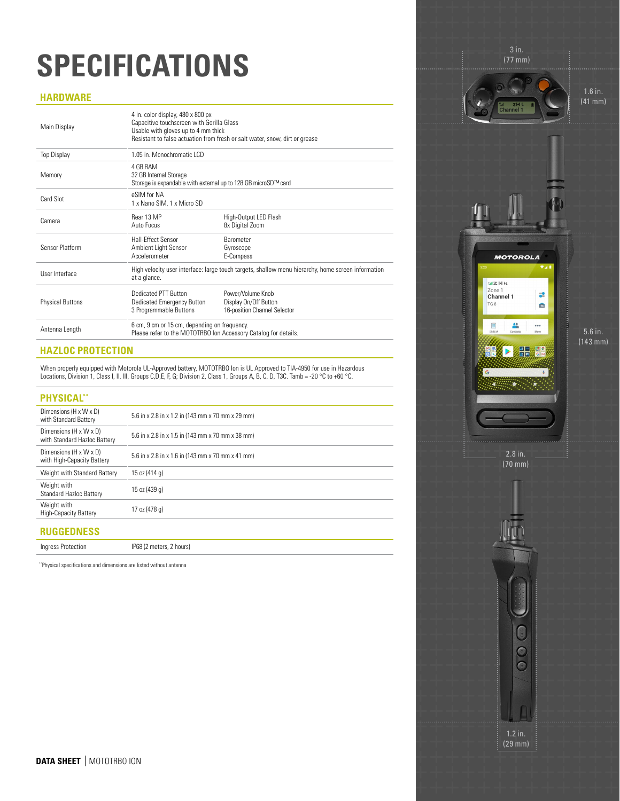### **SPECIFICATIONS**

#### **HARDWARE**

| Main Display            | 4 in. color display, 480 x 800 px<br>Capacitive touchscreen with Gorilla Glass<br>Usable with gloves up to 4 mm thick | Resistant to false actuation from fresh or salt water, snow, dirt or grease                        |  |  |
|-------------------------|-----------------------------------------------------------------------------------------------------------------------|----------------------------------------------------------------------------------------------------|--|--|
| <b>Top Display</b>      | 1.05 in. Monochromatic LCD                                                                                            |                                                                                                    |  |  |
| Memory                  | 4 GR RAM<br>32 GB Internal Storage<br>Storage is expandable with external up to 128 GB microSD™ card                  |                                                                                                    |  |  |
| Card Slot               | eSIM for NA<br>1 x Nano SIM, 1 x Micro SD                                                                             |                                                                                                    |  |  |
| Camera                  | Rear 13 MP<br>Auto Focus                                                                                              | High-Output LED Flash<br>8x Digital Zoom                                                           |  |  |
| Sensor Platform         | <b>Hall-Fffect Sensor</b><br>Ambient Light Sensor<br>Accelerometer                                                    | <b>Barometer</b><br>Gyroscope<br>E-Compass                                                         |  |  |
| User Interface          | at a glance.                                                                                                          | High velocity user interface: large touch targets, shallow menu hierarchy, home screen information |  |  |
| <b>Physical Buttons</b> | <b>Dedicated PTT Button</b><br>Dedicated Emergency Button<br>3 Programmable Buttons                                   | Power/Volume Knob<br>Display On/Off Button<br>16-position Channel Selector                         |  |  |
| Antenna Length          | 6 cm, 9 cm or 15 cm, depending on frequency.<br>Please refer to the MOTOTRBO Ion Accessory Catalog for details.       |                                                                                                    |  |  |

#### **HAZLOC PROTECTION**

When properly equipped with Motorola UL-Approved battery, MOTOTRBO Ion is UL Approved to TIA-4950 for use in Hazardous Locations, Division 1, Class I, II, III, Groups C,D,E, F, G, Division 2, Class 1, Groups A, B, C, D, T3C. Tamb = -20 °C to +60 °C.

| <b>PHYSICAL**</b>                                      |                                                   |
|--------------------------------------------------------|---------------------------------------------------|
| Dimensions (H x W x D)<br>with Standard Battery        | 5.6 in x 2.8 in x 1.2 in (143 mm x 70 mm x 29 mm) |
| Dimensions (H x W x D)<br>with Standard Hazloc Battery | 5.6 in x 2.8 in x 1.5 in (143 mm x 70 mm x 38 mm) |
| Dimensions (H x W x D)<br>with High-Capacity Battery   | 5.6 in x 2.8 in x 1.6 in (143 mm x 70 mm x 41 mm) |
| Weight with Standard Battery                           | 15 oz (414 g)                                     |
| Weight with<br>Standard Hazloc Battery                 | 15 oz (439 g)                                     |
| Weight with<br>High-Capacity Battery                   | 17 oz (478 g)                                     |
| <b>RUGGEDNESS</b>                                      |                                                   |
| Ingress Protection                                     | IP68 (2 meters, 2 hours)                          |

\*\*Physical specifications and dimensions are listed without antenna